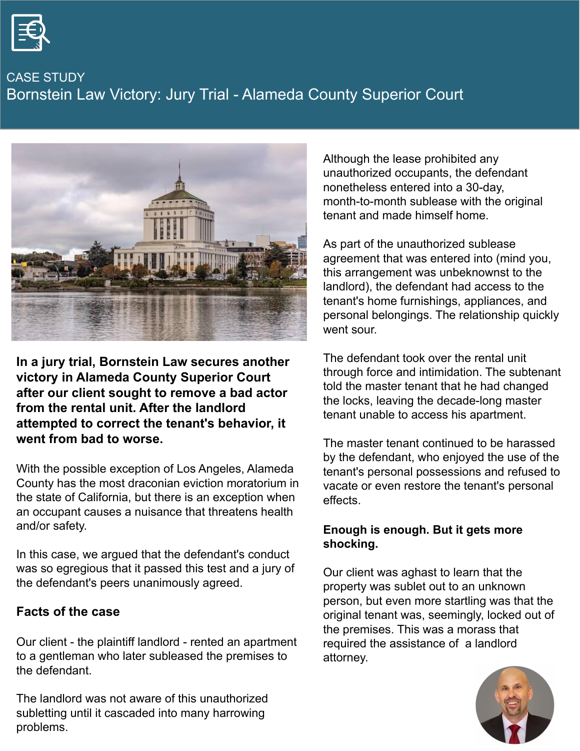

CASE STUDY Bornstein Law Victory: Jury Trial - Alameda County Superior Court



**In a jury trial, Bornstein Law secures another victory in Alameda County Superior Court after our client sought to remove a bad actor from the rental unit. After the landlord attempted to correct the tenant's behavior, it went from bad to worse.**

With the possible exception of Los Angeles, Alameda County has the most draconian eviction moratorium in the state of California, but there is an exception when an occupant causes a nuisance that threatens health and/or safety.

In this case, we argued that the defendant's conduct was so egregious that it passed this test and a jury of the defendant's peers unanimously agreed.

#### **Facts of the case**

Our client - the plaintiff landlord - rented an apartment to a gentleman who later subleased the premises to the defendant.

The landlord was not aware of this unauthorized subletting until it cascaded into many harrowing problems.

Although the lease prohibited any unauthorized occupants, the defendant nonetheless entered into a 30-day, month-to-month sublease with the original tenant and made himself home.

As part of the unauthorized sublease agreement that was entered into (mind you, this arrangement was unbeknownst to the landlord), the defendant had access to the tenant's home furnishings, appliances, and personal belongings. The relationship quickly went sour.

The defendant took over the rental unit through force and intimidation. The subtenant told the master tenant that he had changed the locks, leaving the decade-long master tenant unable to access his apartment.

The master tenant continued to be harassed by the defendant, who enjoyed the use of the tenant's personal possessions and refused to vacate or even restore the tenant's personal effects.

#### **Enough is enough. But it gets more shocking.**

Our client was aghast to learn that the property was sublet out to an unknown person, but even more startling was that the original tenant was, seemingly, locked out of the premises. This was a morass that required the assistance of a landlord attorney.